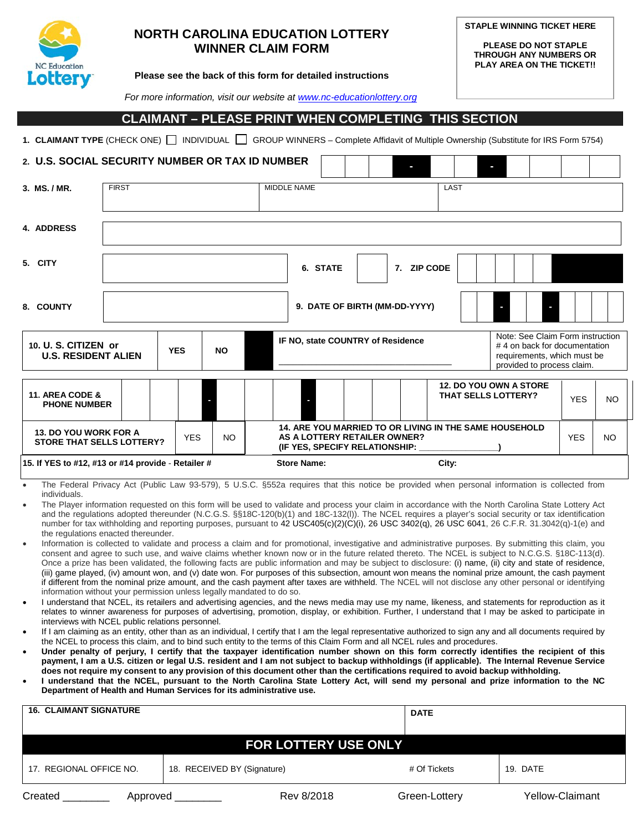

## **NORTH CAROLINA EDUCATION LOTTERY WINNER CLAIM FORM**

**STAPLE WINNING TICKET HERE**

**PLEASE DO NOT STAPLE THROUGH ANY NUMBERS OR PLAY AREA ON THE TICKET!!**

#### **Please see the back of this form for detailed instructions**

 *For more information, visit our website a[t www.nc-educationlottery.org](http://www.nc-educationlottery.org/)*

## **CLAIMANT – PLEASE PRINT WHEN COMPLETING THIS SECTION**

1. **CLAIMANT TYPE** (CHECK ONE) INDIVIDUAL GROUP WINNERS – Complete Affidavit of Multiple Ownership (Substitute for IRS Form 5754)

| 2. U.S. SOCIAL SECURITY NUMBER OR TAX ID NUMBER<br>ı                           |                               |  |            |                    |                                                                                                                                                                    |  |             |                            |                               |            |     |
|--------------------------------------------------------------------------------|-------------------------------|--|------------|--------------------|--------------------------------------------------------------------------------------------------------------------------------------------------------------------|--|-------------|----------------------------|-------------------------------|------------|-----|
| 3. MS./MR.                                                                     | <b>FIRST</b>                  |  |            | <b>MIDDLE NAME</b> |                                                                                                                                                                    |  |             | LAST                       |                               |            |     |
| 4. ADDRESS                                                                     |                               |  |            |                    |                                                                                                                                                                    |  |             |                            |                               |            |     |
| 5. CITY                                                                        |                               |  |            |                    | 6. STATE                                                                                                                                                           |  | 7. ZIP CODE |                            |                               |            |     |
| 8. COUNTY                                                                      | 9. DATE OF BIRTH (MM-DD-YYYY) |  |            |                    |                                                                                                                                                                    |  |             |                            |                               |            |     |
| 10. U. S. CITIZEN or<br><b>U.S. RESIDENT ALIEN</b>                             |                               |  | <b>YES</b> | <b>NO</b>          | Note: See Claim Form instruction<br>IF NO, state COUNTRY of Residence<br>#4 on back for documentation<br>requirements, which must be<br>provided to process claim. |  |             |                            |                               |            |     |
| 11. AREA CODE &<br><b>PHONE NUMBER</b>                                         |                               |  |            |                    |                                                                                                                                                                    |  |             | <b>THAT SELLS LOTTERY?</b> | <b>12. DO YOU OWN A STORE</b> | <b>YES</b> | NO. |
| <b>13. DO YOU WORK FOR A</b><br><b>YES</b><br><b>STORE THAT SELLS LOTTERY?</b> |                               |  | NO.        |                    | <b>14. ARE YOU MARRIED TO OR LIVING IN THE SAME HOUSEHOLD</b><br>AS A LOTTERY RETAILER OWNER?<br>(IF YES, SPECIFY RELATIONSHIP:                                    |  |             |                            | <b>YES</b>                    | NO.        |     |
| 15. If YES to #12, #13 or #14 provide - Retailer #                             |                               |  |            | <b>Store Name:</b> |                                                                                                                                                                    |  | City:       |                            |                               |            |     |

- The Federal Privacy Act (Public Law 93-579), 5 U.S.C. §552a requires that this notice be provided when personal information is collected from individuals.
- The Player information requested on this form will be used to validate and process your claim in accordance with the North Carolina State Lottery Act and the regulations adopted thereunder (N.C.G.S. §§18C-120(b)(1) and 18C-132(l)). The NCEL requires a player's social security or tax identification number for tax withholding and reporting purposes, pursuant to 42 USC405(c)(2)(C)(i), 26 USC 3402(q), 26 USC 6041, 26 C.F.R. 31.3042(q)-1(e) and the regulations enacted thereunder.
- Information is collected to validate and process a claim and for promotional, investigative and administrative purposes. By submitting this claim, you consent and agree to such use, and waive claims whether known now or in the future related thereto. The NCEL is subject to N.C.G.S. §18C-113(d). Once a prize has been validated, the following facts are public information and may be subject to disclosure: (i) name, (ii) city and state of residence, (iii) game played, (iv) amount won, and (v) date won. For purposes of this subsection, amount won means the nominal prize amount, the cash payment if different from the nominal prize amount, and the cash payment after taxes are withheld. The NCEL will not disclose any other personal or identifying information without your permission unless legally mandated to do so.
- I understand that NCEL, its retailers and advertising agencies, and the news media may use my name, likeness, and statements for reproduction as it relates to winner awareness for purposes of advertising, promotion, display, or exhibition. Further, I understand that I may be asked to participate in interviews with NCEL public relations personnel.
- If I am claiming as an entity, other than as an individual, I certify that I am the legal representative authorized to sign any and all documents required by the NCEL to process this claim, and to bind such entity to the terms of this Claim Form and all NCEL rules and procedures.
- **Under penalty of perjury, I certify that the taxpayer identification number shown on this form correctly identifies the recipient of this payment, I am a U.S. citizen or legal U.S. resident and I am not subject to backup withholdings (if applicable). The Internal Revenue Service does not require my consent to any provision of this document other than the certifications required to avoid backup withholding.**
- **I understand that the NCEL, pursuant to the North Carolina State Lottery Act, will send my personal and prize information to the NC Department of Health and Human Services for its administrative use.**

| <b>16. CLAIMANT SIGNATURE</b> |                             | <b>DATE</b>   |                 |  |  |  |  |
|-------------------------------|-----------------------------|---------------|-----------------|--|--|--|--|
|                               |                             |               |                 |  |  |  |  |
| <b>FOR LOTTERY USE ONLY</b>   |                             |               |                 |  |  |  |  |
| 17. REGIONAL OFFICE NO.       | 18. RECEIVED BY (Signature) | # Of Tickets  | 19. DATE        |  |  |  |  |
| Created<br>Approved           | Rev 8/2018                  | Green-Lottery | Yellow-Claimant |  |  |  |  |